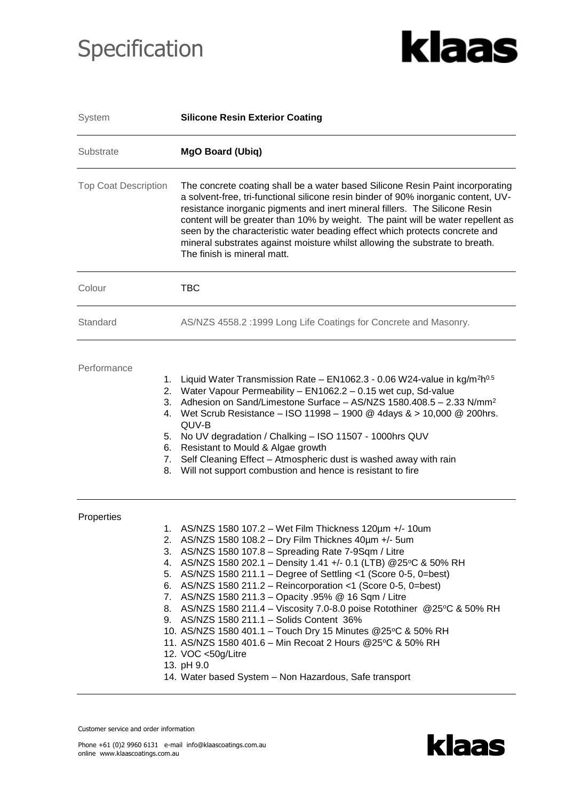## Specification



| System                      | <b>Silicone Resin Exterior Coating</b>                                                                                                                                                                                                                                                                                                                                                                                                                                                                                                                                                                                                                                                                                                                                                            |  |  |  |  |  |
|-----------------------------|---------------------------------------------------------------------------------------------------------------------------------------------------------------------------------------------------------------------------------------------------------------------------------------------------------------------------------------------------------------------------------------------------------------------------------------------------------------------------------------------------------------------------------------------------------------------------------------------------------------------------------------------------------------------------------------------------------------------------------------------------------------------------------------------------|--|--|--|--|--|
| Substrate                   | <b>MgO Board (Ubiq)</b>                                                                                                                                                                                                                                                                                                                                                                                                                                                                                                                                                                                                                                                                                                                                                                           |  |  |  |  |  |
| <b>Top Coat Description</b> | The concrete coating shall be a water based Silicone Resin Paint incorporating<br>a solvent-free, tri-functional silicone resin binder of 90% inorganic content, UV-<br>resistance inorganic pigments and inert mineral fillers. The Silicone Resin<br>content will be greater than 10% by weight. The paint will be water repellent as<br>seen by the characteristic water beading effect which protects concrete and<br>mineral substrates against moisture whilst allowing the substrate to breath.<br>The finish is mineral matt.                                                                                                                                                                                                                                                             |  |  |  |  |  |
| Colour                      | <b>TBC</b>                                                                                                                                                                                                                                                                                                                                                                                                                                                                                                                                                                                                                                                                                                                                                                                        |  |  |  |  |  |
| Standard                    | AS/NZS 4558.2 :1999 Long Life Coatings for Concrete and Masonry.                                                                                                                                                                                                                                                                                                                                                                                                                                                                                                                                                                                                                                                                                                                                  |  |  |  |  |  |
| Performance                 | Liquid Water Transmission Rate - $EN1062.3 - 0.06 W24$ -value in kg/m <sup>2</sup> h <sup>0.5</sup><br>1.<br>Water Vapour Permeability - EN1062.2 - 0.15 wet cup, Sd-value<br>2.<br>Adhesion on Sand/Limestone Surface - AS/NZS 1580.408.5 - 2.33 N/mm <sup>2</sup><br>3.<br>Wet Scrub Resistance - ISO 11998 - 1900 @ 4days & > 10,000 @ 200hrs.<br>4.<br>QUV-B<br>No UV degradation / Chalking - ISO 11507 - 1000hrs QUV<br>5.<br>Resistant to Mould & Algae growth<br>6.<br>Self Cleaning Effect - Atmospheric dust is washed away with rain<br>7.<br>Will not support combustion and hence is resistant to fire<br>8.                                                                                                                                                                         |  |  |  |  |  |
| Properties                  | 1. AS/NZS 1580 107.2 - Wet Film Thickness 120um +/- 10um<br>2. AS/NZS 1580 108.2 - Dry Film Thicknes 40um +/- 5um<br>AS/NZS 1580 107.8 - Spreading Rate 7-9Sqm / Litre<br>3.<br>4. AS/NZS 1580 202.1 - Density 1.41 +/- 0.1 (LTB) @ 25°C & 50% RH<br>5. AS/NZS 1580 211.1 - Degree of Settling <1 (Score 0-5, 0=best)<br>6. AS/NZS 1580 211.2 – Reincorporation <1 (Score 0-5, 0=best)<br>7. AS/NZS 1580 211.3 - Opacity .95% @ 16 Sqm / Litre<br>8. AS/NZS 1580 211.4 - Viscosity 7.0-8.0 poise Rotothiner @25°C & 50% RH<br>9. AS/NZS 1580 211.1 - Solids Content 36%<br>10. AS/NZS 1580 401.1 - Touch Dry 15 Minutes @25°C & 50% RH<br>11. AS/NZS 1580 401.6 - Min Recoat 2 Hours @25°C & 50% RH<br>12. VOC <50g/Litre<br>13. pH 9.0<br>14. Water based System - Non Hazardous, Safe transport |  |  |  |  |  |

Customer service and order information